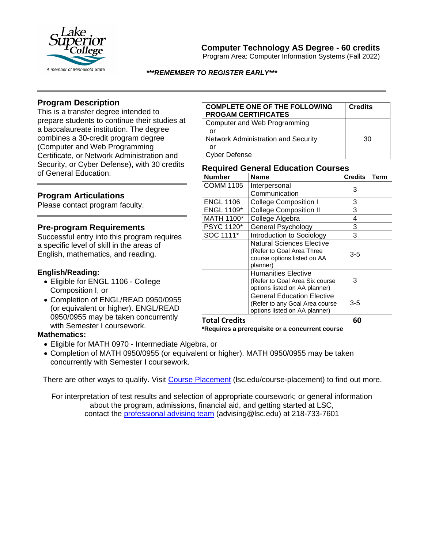

# **Computer Technology AS Degree - 60 credits**

Program Area: Computer Information Systems (Fall 2022)

*\*\*\*REMEMBER TO REGISTER EARLY\*\*\**

## **Program Description**

This is a transfer degree intended to prepare students to continue their studies at a baccalaureate institution. The degree combines a 30-credit program degree (Computer and Web Programming Certificate, or Network Administration and Security, or Cyber Defense), with 30 credits of General Education.

## **Program Articulations**

Please contact program faculty.

#### **Pre-program Requirements**

Successful entry into this program requires a specific level of skill in the areas of English, mathematics, and reading.

#### **English/Reading:**

- Eligible for ENGL 1106 College Composition I, or
- Completion of ENGL/READ 0950/0955 (or equivalent or higher). ENGL/READ 0950/0955 may be taken concurrently with Semester I coursework.

#### **Mathematics:**

- Eligible for MATH 0970 Intermediate Algebra, or
- Completion of MATH 0950/0955 (or equivalent or higher). MATH 0950/0955 may be taken concurrently with Semester I coursework.

There are other ways to qualify. Visit [Course Placement](https://www.lsc.edu/course-placement/) (lsc.edu/course-placement) to find out more.

For interpretation of test results and selection of appropriate coursework; or general information about the program, admissions, financial aid, and getting started at LSC, contact the [professional advising team](mailto:advising@lsc.edu) (advising@lsc.edu) at 218-733-7601

| <b>COMPLETE ONE OF THE FOLLOWING</b><br><b>PROGAM CERTIFICATES</b> | <b>Credits</b> |
|--------------------------------------------------------------------|----------------|
| Computer and Web Programming                                       |                |
| or                                                                 |                |
| <b>Network Administration and Security</b>                         | 30             |
| Ωr                                                                 |                |
| Cyber Defense                                                      |                |

### **Required General Education Courses**

| <b>Number</b>        | <b>Name</b>                            | <b>Credits</b> | Term |
|----------------------|----------------------------------------|----------------|------|
| <b>COMM 1105</b>     | Interpersonal                          | 3              |      |
|                      | Communication                          |                |      |
| <b>ENGL 1106</b>     | <b>College Composition I</b>           | 3              |      |
| <b>ENGL 1109*</b>    | <b>College Composition II</b>          | 3              |      |
| MATH 1100*           | College Algebra                        | 4              |      |
| PSYC 1120*           | <b>General Psychology</b>              | 3              |      |
| SOC 1111*            | Introduction to Sociology              | 3              |      |
|                      | Natural Sciences Elective              | $3-5$<br>3     |      |
|                      | (Refer to Goal Area Three              |                |      |
|                      | course options listed on AA            |                |      |
|                      | planner)<br><b>Humanities Elective</b> |                |      |
|                      | (Refer to Goal Area Six course         |                |      |
|                      | options listed on AA planner)          |                |      |
|                      | <b>General Education Elective</b>      | $3 - 5$        |      |
|                      | (Refer to any Goal Area course         |                |      |
|                      | options listed on AA planner)          |                |      |
| <b>Total Credits</b> |                                        | 60             |      |

**\*Requires a prerequisite or a concurrent course**